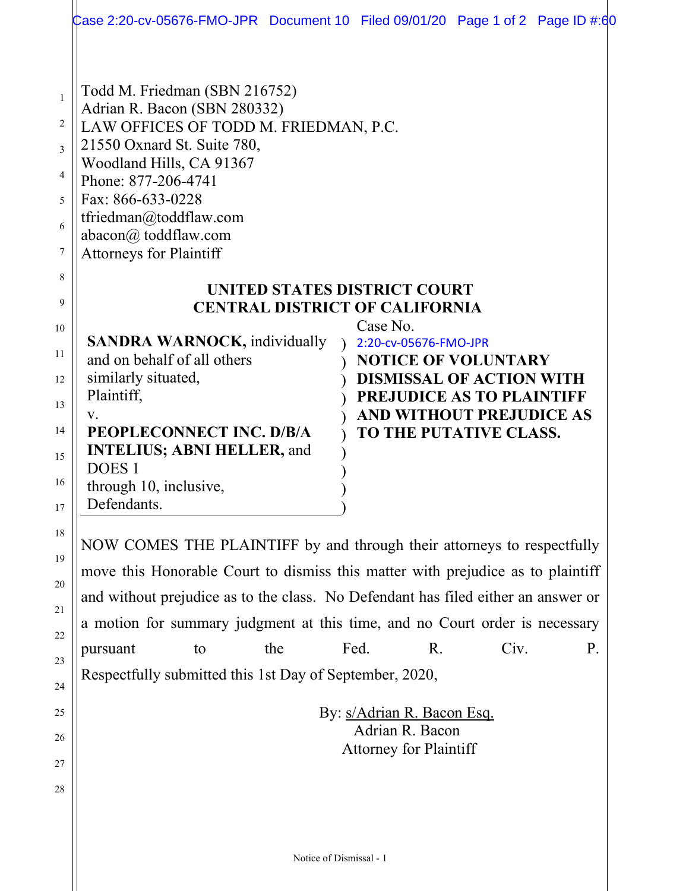|                                                 | Case 2:20-cv-05676-FMO-JPR Document 10 Filed 09/01/20 Page 1 of 2 Page ID #:60                                                                                                                                                                                                                                                                                                                                            |
|-------------------------------------------------|---------------------------------------------------------------------------------------------------------------------------------------------------------------------------------------------------------------------------------------------------------------------------------------------------------------------------------------------------------------------------------------------------------------------------|
| $\mathbf{1}$<br>2<br>3<br>4<br>5<br>6<br>7<br>8 | Todd M. Friedman (SBN 216752)<br>Adrian R. Bacon (SBN 280332)<br>LAW OFFICES OF TODD M. FRIEDMAN, P.C.<br>21550 Oxnard St. Suite 780,<br>Woodland Hills, CA 91367<br>Phone: 877-206-4741<br>Fax: 866-633-0228<br>tfriedman@toddflaw.com<br>abacon@ toddflaw.com<br><b>Attorneys for Plaintiff</b><br>UNITED STATES DISTRICT COURT                                                                                         |
| 9<br>10                                         | <b>CENTRAL DISTRICT OF CALIFORNIA</b><br>Case No.                                                                                                                                                                                                                                                                                                                                                                         |
| 11<br>12<br>13<br>14<br>15<br>16<br>17          | <b>SANDRA WARNOCK, individually</b><br>2:20-cv-05676-FMO-JPR<br>and on behalf of all others<br><b>NOTICE OF VOLUNTARY</b><br>similarly situated,<br><b>DISMISSAL OF ACTION WITH</b><br>Plaintiff,<br>PREJUDICE AS TO PLAINTIFF<br>AND WITHOUT PREJUDICE AS<br>V.<br>PEOPLECONNECT INC. D/B/A<br>TO THE PUTATIVE CLASS.<br><b>INTELIUS; ABNI HELLER, and</b><br>DOES <sub>1</sub><br>through 10, inclusive,<br>Defendants. |
| 18<br>19                                        | NOW COMES THE PLAINTIFF by and through their attorneys to respectfully                                                                                                                                                                                                                                                                                                                                                    |
| 20                                              | move this Honorable Court to dismiss this matter with prejudice as to plaintiff                                                                                                                                                                                                                                                                                                                                           |
| 21                                              | and without prejudice as to the class. No Defendant has filed either an answer or                                                                                                                                                                                                                                                                                                                                         |
| 22                                              | a motion for summary judgment at this time, and no Court order is necessary<br>Fed.<br>Civ.<br>R.<br>P.                                                                                                                                                                                                                                                                                                                   |
| 23                                              | pursuant<br>the<br>to<br>Respectfully submitted this 1st Day of September, 2020,                                                                                                                                                                                                                                                                                                                                          |
| 24                                              |                                                                                                                                                                                                                                                                                                                                                                                                                           |
| 25                                              | By: s/Adrian R. Bacon Esq.<br>Adrian R. Bacon                                                                                                                                                                                                                                                                                                                                                                             |
| 26                                              | <b>Attorney for Plaintiff</b>                                                                                                                                                                                                                                                                                                                                                                                             |
| 27<br>28                                        |                                                                                                                                                                                                                                                                                                                                                                                                                           |